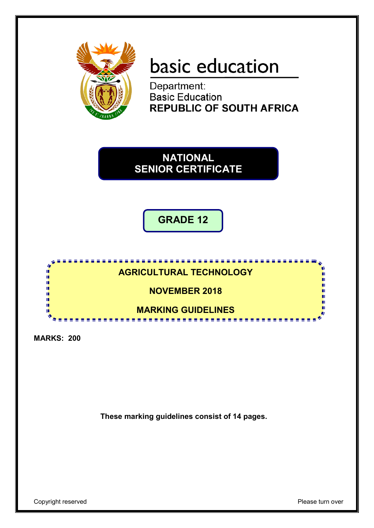

# basic education

Department:<br>Basic Education **REPUBLIC OF SOUTH AFRICA** 

**NATIONAL SENIOR CERTIFICATE**

**GRADE 12**



**MARKS: 200**

**These marking guidelines consist of 14 pages.**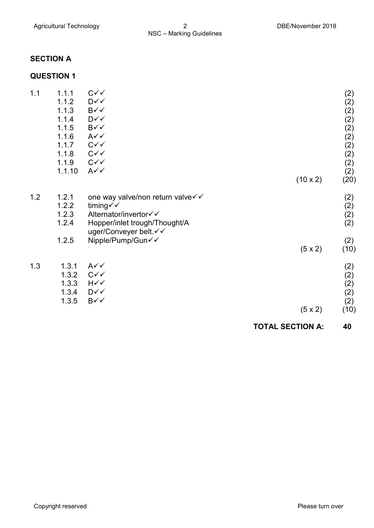# **SECTION A**

# **QUESTION 1**

|     |                |                                   | <b>TOTAL SECTION A:</b> | 40          |
|-----|----------------|-----------------------------------|-------------------------|-------------|
|     |                |                                   | $(5 \times 2)$          | (10)        |
|     | 1.3.5          | $B\checkmark$                     |                         | (2)         |
|     | 1.3.4          | D√√                               |                         | (2)         |
|     | 1.3.3          | $H\curvearrowleft$                |                         | (2)         |
|     | 1.3.2          | $C\checkmark$                     |                         | (2)<br>(2)  |
| 1.3 | 1.3.1          | $A\checkmark$                     |                         |             |
|     | 1.2.5          | Nipple/Pump/Gun√√                 | $(5 \times 2)$          | (2)<br>(10) |
|     |                | uger/Conveyer belt. V V           |                         |             |
|     | 1.2.4          | Hopper/inlet trough/Thought/A     |                         | (2)<br>(2)  |
|     | 1.2.2<br>1.2.3 | timing√√<br>Alternator/invertor√√ |                         | (2)         |
| 1.2 | 1.2.1          | one way valve/non return valve√√  |                         | (2)         |
|     |                |                                   | $(10 \times 2)$         | (20)        |
|     | 1.1.10         | $A\checkmark$                     |                         | (2)         |
|     | 1.1.9          | $C\checkmark$                     |                         | (2)         |
|     | 1.1.8          | $C\checkmark$                     |                         | (2)<br>(2)  |
|     | 1.1.6<br>1.1.7 | $A\checkmark$<br>$C\checkmark$    |                         | (2)         |
|     | 1.1.5          | B√√                               |                         | (2)         |
|     | 1.1.4          | D√√                               |                         | (2)         |
|     | 1.1.3          | $B\checkmark$                     |                         | (2)         |
|     | 1.1.2          | $\mathsf{D}\mathsf{v}\mathsf{v}$  |                         | (2)         |
| 1.1 | 1.1.1          | $C\checkmark$                     |                         | (2)         |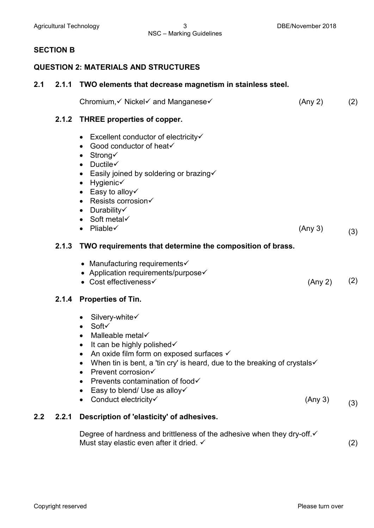# **SECTION B**

# **QUESTION 2: MATERIALS AND STRUCTURES**

| 2.1 | 2.1.1 | TWO elements that decrease magnetism in stainless steel.                                                                                                                                                                                                                                                                                                                                                                  |         |     |
|-----|-------|---------------------------------------------------------------------------------------------------------------------------------------------------------------------------------------------------------------------------------------------------------------------------------------------------------------------------------------------------------------------------------------------------------------------------|---------|-----|
|     |       | Chromium, v Nickel v and Manganese v                                                                                                                                                                                                                                                                                                                                                                                      | (Any 2) | (2) |
|     | 2.1.2 | <b>THREE properties of copper.</b>                                                                                                                                                                                                                                                                                                                                                                                        |         |     |
|     |       | • Excellent conductor of electricity $\checkmark$<br>Good conductor of heat√<br>• Strong $\checkmark$<br>Ductile $\checkmark$<br>$\bullet$<br>• Easily joined by soldering or brazing<br>$\bullet$ Hygienic $\checkmark$<br>• Easy to alloy $\checkmark$<br>• Resists corrosion $\checkmark$<br>• Durability $\checkmark$<br>• Soft metal $\checkmark$<br>$\bullet$ Pliable $\checkmark$                                  | (Any 3) | (3) |
|     | 2.1.3 | TWO requirements that determine the composition of brass.                                                                                                                                                                                                                                                                                                                                                                 |         |     |
|     | 2.1.4 | • Manufacturing requirements $\checkmark$<br>• Application requirements/purpose<br>• Cost effectiveness<br><b>Properties of Tin.</b>                                                                                                                                                                                                                                                                                      | (Any 2) | (2) |
|     |       | • Silvery-white $\checkmark$<br>Soft√<br>$\bullet$<br>Malleable metal√<br>$\bullet$<br>It can be highly polished√<br>$\bullet$<br>An oxide film form on exposed surfaces √<br>$\bullet$<br>When tin is bent, a 'tin cry' is heard, due to the breaking of crystals<br>Prevent corrosion√<br>$\bullet$<br>Prevents contamination of food√<br>$\bullet$<br>Easy to blend/ Use as alloy $\checkmark$<br>Conduct electricity√ | (Any 3) | (3) |
| 2.2 | 2.2.1 | Description of 'elasticity' of adhesives.                                                                                                                                                                                                                                                                                                                                                                                 |         |     |
|     |       | Degree of hardness and brittleness of the adhesive when they dry-off.√                                                                                                                                                                                                                                                                                                                                                    |         |     |

Must stay elastic even after it dried.  $\checkmark$  and the state of the state of the state  $(2)$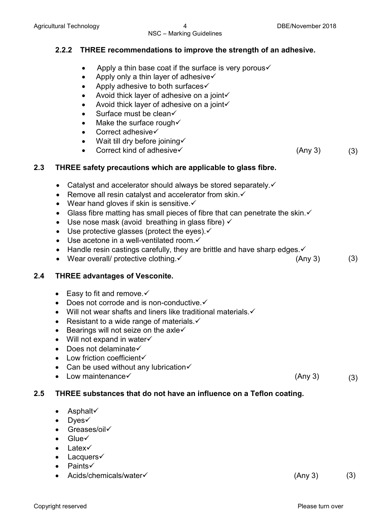# NSC – Marking Guidelines

# **2.2.2 THREE recommendations to improve the strength of an adhesive.**

- Apply a thin base coat if the surface is very porous  $\checkmark$
- Apply only a thin layer of adhesive $\checkmark$
- Apply adhesive to both surfaces $\checkmark$
- Avoid thick layer of adhesive on a joint $\checkmark$
- Avoid thick layer of adhesive on a joint $\checkmark$
- Surface must be clean $\checkmark$
- Make the surface rough  $\checkmark$
- Correct adhesive√
- Wait till dry before joining  $\checkmark$
- Correct kind of adhesive  $\checkmark$  (Any 3) (3)

# **2.3 THREE safety precautions which are applicable to glass fibre.**

- Catalyst and accelerator should always be stored separately.
- Remove all resin catalyst and accelerator from skin. $\checkmark$
- Wear hand gloves if skin is sensitive. $\checkmark$
- Glass fibre matting has small pieces of fibre that can penetrate the skin. $\checkmark$
- Use nose mask (avoid breathing in glass fibre)  $\checkmark$
- Use protective glasses (protect the eyes). $\checkmark$
- $\bullet$  Use acetone in a well-ventilated room. $\checkmark$
- Handle resin castings carefully, they are brittle and have sharp edges. $\checkmark$
- Wear overall/ protective clothing.  $\checkmark$  (Any 3) (3)

#### **2.4 THREE advantages of Vesconite.**

- Easy to fit and remove.  $\checkmark$
- Does not corrode and is non-conductive. $\checkmark$
- Will not wear shafts and liners like traditional materials. $\checkmark$
- Resistant to a wide range of materials. $\checkmark$
- Bearings will not seize on the axle $\checkmark$
- $\bullet$  Will not expand in water $\checkmark$
- Does not delaminate $\checkmark$
- $\bullet$  Low friction coefficient $\checkmark$
- Can be used without any lubrication $\checkmark$
- Low maintenance  $\times$  (Any 3) • Low maintenance  $(3)$

# **2.5 THREE substances that do not have an influence on a Teflon coating.**

- Asphalt
- Dyes
- Greases/oil√
- $\bullet$  Glue $\checkmark$
- Latex
- Lacquers $\checkmark$
- **Paints√**
- Acids/chemicals/water <del>V</del> (Any 3) (3)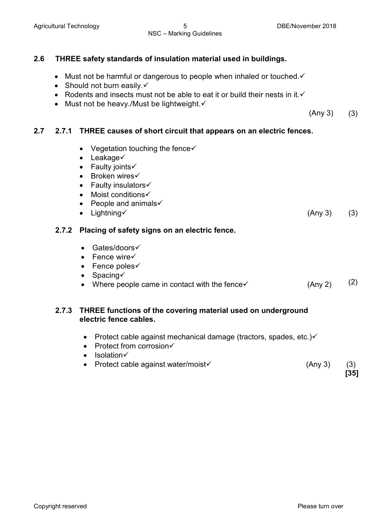# NSC – Marking Guidelines

# **2.6 THREE safety standards of insulation material used in buildings.**

- Must not be harmful or dangerous to people when inhaled or touched. $\checkmark$
- Should not burn easily. $\checkmark$
- Rodents and insects must not be able to eat it or build their nests in it. $\checkmark$
- Must not be heavy./Must be lightweight. $\checkmark$

 (Any 3) (3)

# **2.7 2.7.1 THREE causes of short circuit that appears on an electric fences.**

- Vegetation touching the fence $\checkmark$
- $\bullet$  Leakage $\checkmark$
- Faulty joints  $\checkmark$
- Broken wires√
- $\bullet$  Faulty insulators $\checkmark$
- Moist conditions
- People and animals $\checkmark$
- Lightning  $(3)$  (3)

# **2.7.2 Placing of safety signs on an electric fence.**

- Gates/doors√
- $\bullet$  Fence wire $\checkmark$
- $\bullet$  Fence poles $\checkmark$
- $\bullet$  Spacing $\checkmark$
- Where people came in contact with the fence  $\checkmark$  (Any 2) (2)

# **2.7.3 THREE functions of the covering material used on underground electric fence cables.**

- Protect cable against mechanical damage (tractors, spades, etc.) $\checkmark$
- $\bullet$  Protect from corrosion $\checkmark$
- Isolation
- Protect cable against water/moist $\checkmark$  (Any 3) (3)

**[35]**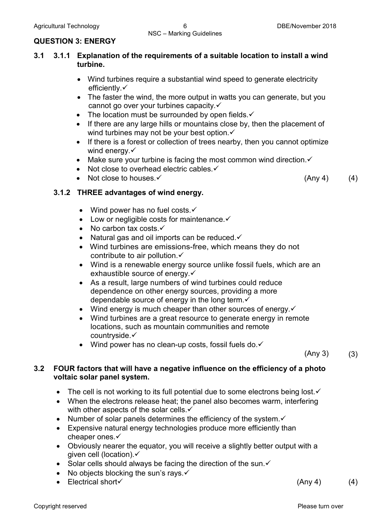#### **QUESTION 3: ENERGY**

# **3.1 3.1.1 Explanation of the requirements of a suitable location to install a wind turbine.**

- Wind turbines require a substantial wind speed to generate electricity efficiently. $\checkmark$
- The faster the wind, the more output in watts you can generate, but you cannot go over your turbines capacity.
- The location must be surrounded by open fields. $\checkmark$
- If there are any large hills or mountains close by, then the placement of wind turbines may not be your best option.
- If there is a forest or collection of trees nearby, then you cannot optimize wind energy. $\checkmark$
- Make sure your turbine is facing the most common wind direction. $\checkmark$
- Not close to overhead electric cables. $\checkmark$
- Not close to houses.  $\checkmark$  (Any 4) (4)

# **3.1.2 THREE advantages of wind energy.**

- Wind power has no fuel costs. $\checkmark$
- $\bullet$  Low or negligible costs for maintenance. $\checkmark$
- No carbon tax costs. $\checkmark$
- Natural gas and oil imports can be reduced. $\checkmark$
- Wind turbines are emissions-free, which means they do not contribute to air pollution  $\checkmark$
- Wind is a renewable energy source unlike fossil fuels, which are an exhaustible source of energy.
- As a result, large numbers of wind turbines could reduce dependence on other energy sources, providing a more dependable source of energy in the long term. ✓
- Wind energy is much cheaper than other sources of energy.  $\checkmark$
- Wind turbines are a great resource to generate energy in remote locations, such as mountain communities and remote countryside.
- Wind power has no clean-up costs, fossil fuels do. $\checkmark$

 $(Any 3)$   $(3)$ 

# **3.2 FOUR factors that will have a negative influence on the efficiency of a photo voltaic solar panel system.**

- The cell is not working to its full potential due to some electrons being lost. $\checkmark$
- When the electrons release heat; the panel also becomes warm, interfering with other aspects of the solar cells.
- Number of solar panels determines the efficiency of the system. $\checkmark$
- Expensive natural energy technologies produce more efficiently than cheaper ones.
- Obviously nearer the equator, you will receive a slightly better output with a given cell (location).
- Solar cells should always be facing the direction of the sun. $\checkmark$
- No objects blocking the sun's rays.  $\checkmark$
- Electrical short  $(4)$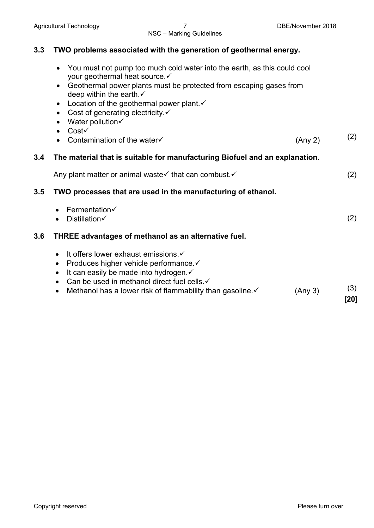# **3.3 TWO problems associated with the generation of geothermal energy.**

- You must not pump too much cold water into the earth, as this could cool your geothermal heat source.
- Geothermal power plants must be protected from escaping gases from deep within the earth.
- Location of the geothermal power plant. $\checkmark$
- Cost of generating electricity. $\checkmark$
- Water pollution $\checkmark$
- $\bullet$  Cost $\checkmark$
- Contamination of the water  $(2)$  (Any 2) (2)

# **3.4 The material that is suitable for manufacturing Biofuel and an explanation.**

Any plant matter or animal waste  $\checkmark$  that can combust.  $\checkmark$ 

# **3.5 TWO processes that are used in the manufacturing of ethanol.**

- $\bullet$  Fermentation $\checkmark$ • Distillation $\checkmark$  (2) **3.6 THREE advantages of methanol as an alternative fuel.**
	- $\bullet$  It offers lower exhaust emissions. $\checkmark$
	- Produces higher vehicle performance. $\checkmark$
	- $\bullet$  It can easily be made into hydrogen. $\checkmark$
	- Can be used in methanol direct fuel cells. $\checkmark$
	- Methanol has a lower risk of flammability than gasoline.  $\checkmark$  (Any 3) (3)

**[20]**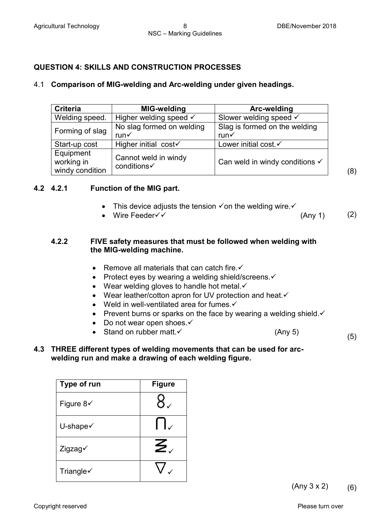(8)

# **QUESTION 4: SKILLS AND CONSTRUCTION PROCESSES**

#### 4.1 **Comparison of MIG-welding and Arc-welding under given headings.**

| <b>Criteria</b>                            | MIG-welding                         | Arc-welding                               |
|--------------------------------------------|-------------------------------------|-------------------------------------------|
| Welding speed.                             | Higher welding speed $\checkmark$   | Slower welding speed √                    |
| Forming of slag                            | No slag formed on welding           | Slag is formed on the welding             |
|                                            | run√                                | $run\checkmark$                           |
| Start-up cost                              | Higher initial $cost\checkmark$     | Lower initial cost √                      |
| Equipment<br>working in<br>windy condition | Cannot weld in windy<br>conditions√ | Can weld in windy conditions $\checkmark$ |

**4.2 4.2.1 Function of the MIG part.**

- This device adjusts the tension  $\checkmark$  on the welding wire.  $\checkmark$
- Wire Feeder  $\checkmark$  (Any 1) (2)

#### **4.2.2 FIVE safety measures that must be followed when welding with the MIG-welding machine.**

- Remove all materials that can catch fire. $\checkmark$
- Protect eyes by wearing a welding shield/screens. $\checkmark$
- Wear welding gloves to handle hot metal. $\checkmark$
- Wear leather/cotton apron for UV protection and heat. $\checkmark$
- Weld in well-ventilated area for fumes. $\checkmark$
- Prevent burns or sparks on the face by wearing a welding shield. $\checkmark$
- Do not wear open shoes. $\checkmark$
- Stand on rubber matt.  $\checkmark$  (Any 5) (5)
- **4.3 THREE different types of welding movements that can be used for arcwelding run and make a drawing of each welding figure.**

| Type of run           | <b>Figure</b> |
|-----------------------|---------------|
| Figure $8\checkmark$  |               |
| U-shape $\checkmark$  |               |
| Zigzag√               | Ζ.            |
| Triangle $\checkmark$ |               |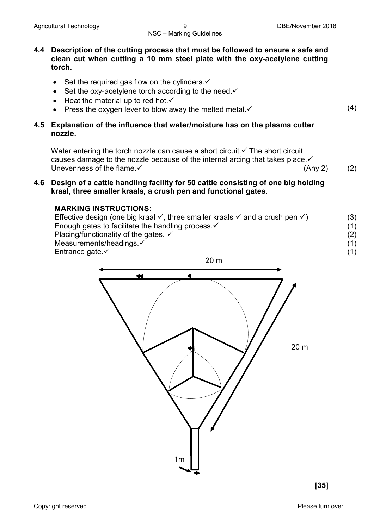#### **4.4 Description of the cutting process that must be followed to ensure a safe and clean cut when cutting a 10 mm steel plate with the oxy-acetylene cutting torch.**

- Set the required gas flow on the cylinders. $\checkmark$
- Set the oxy-acetylene torch according to the need. $\checkmark$
- $\bullet$  Heat the material up to red hot. $\checkmark$
- Press the oxygen lever to blow away the melted metal.  $\checkmark$  (4)

#### **4.5 Explanation of the influence that water/moisture has on the plasma cutter nozzle.**

Water entering the torch nozzle can cause a short circuit.  $\checkmark$  The short circuit causes damage to the nozzle because of the internal arcing that takes place. $\checkmark$ <br>Unevenness of the flame. $\checkmark$ Unevenness of the flame.  $\checkmark$  (Any 2) (2)

#### **4.6 Design of a cattle handling facility for 50 cattle consisting of one big holding kraal, three smaller kraals, a crush pen and functional gates.**

#### **MARKING INSTRUCTIONS:**

Effective design (one big kraal  $\checkmark$ , three smaller kraals  $\checkmark$  and a crush pen  $\checkmark$ ) Enough gates to facilitate the handling process. $\checkmark$ Placing/functionality of the gates.  $\checkmark$ Measurements/headings. Entrance gate. $\checkmark$ (3) (1) (2) (1) (1)

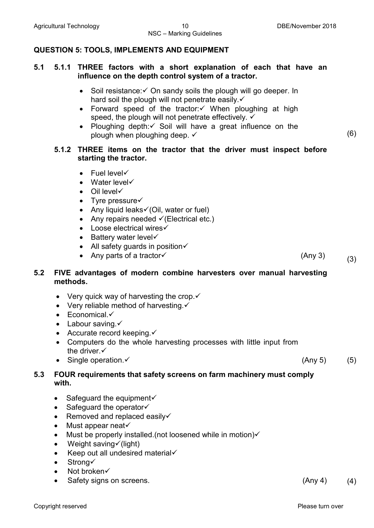# NSC – Marking Guidelines

#### **QUESTION 5: TOOLS, IMPLEMENTS AND EQUIPMENT**

#### **5.1 5.1.1 THREE factors with a short explanation of each that have an influence on the depth control system of a tractor.**

- Soil resistance:  $\checkmark$  On sandy soils the plough will go deeper. In hard soil the plough will not penetrate easily. $\checkmark$
- Forward speed of the tractor: $\checkmark$  When ploughing at high speed, the plough will not penetrate effectively.  $\checkmark$
- Ploughing depth: $\checkmark$  Soil will have a great influence on the plough when ploughing deep.  $\checkmark$  (6)

#### **5.1.2 THREE items on the tractor that the driver must inspect before starting the tractor.**

- $\bullet$  Fuel level $\checkmark$
- Water level $\checkmark$
- $\bullet$  Oil level  $\checkmark$
- Tyre pressure $\checkmark$
- Any liquid leaks $\check{\mathcal{O}}$  (Oil, water or fuel)
- Any repairs needed  $\checkmark$  (Electrical etc.)
- $\bullet$  Loose electrical wires $\checkmark$
- $\bullet$  Battery water level $\checkmark$
- All safety guards in position $\checkmark$
- Any parts of a tractor  $(3)$

#### **5.2 FIVE advantages of modern combine harvesters over manual harvesting methods.**

- Very quick way of harvesting the crop. $\checkmark$
- Very reliable method of harvesting. $\checkmark$
- $\bullet$  Economical. $\checkmark$
- Labour saving  $\checkmark$
- Accurate record keeping. $\checkmark$
- Computers do the whole harvesting processes with little input from the driver. ✓
- Single operation.  $\checkmark$  (5)

#### **5.3 FOUR requirements that safety screens on farm machinery must comply with.**

- Safeguard the equipment $\checkmark$
- $\bullet$  Safeguard the operator $\checkmark$
- Removed and replaced easily $\checkmark$
- Must appear neat $\checkmark$
- Must be properly installed. (not loosened while in motion) $\checkmark$
- Weight saving  $\checkmark$  (light)
- Keep out all undesired material $\checkmark$
- Strong $\checkmark$
- Not broken $\checkmark$
- Safety signs on screens. (Any 4) (4)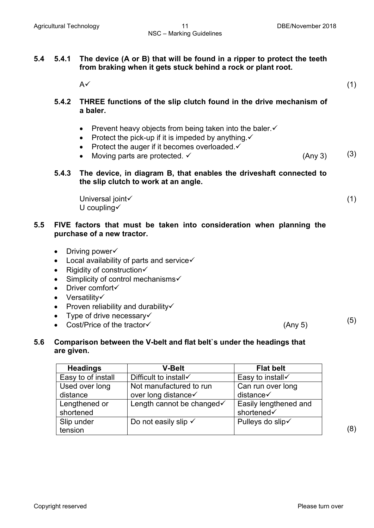| 5.4 | The device (A or B) that will be found in a ripper to protect the teeth<br>5.4.1<br>from braking when it gets stuck behind a rock or plant root. |                                                                                                                                                                                                                                                                           |     |
|-----|--------------------------------------------------------------------------------------------------------------------------------------------------|---------------------------------------------------------------------------------------------------------------------------------------------------------------------------------------------------------------------------------------------------------------------------|-----|
|     |                                                                                                                                                  | $A\checkmark$                                                                                                                                                                                                                                                             | (1) |
|     | 5.4.2                                                                                                                                            | THREE functions of the slip clutch found in the drive mechanism of<br>a baler.                                                                                                                                                                                            |     |
|     |                                                                                                                                                  | Prevent heavy objects from being taken into the baler. ✓<br>Protect the pick-up if it is impeded by anything. v<br>$\bullet$<br>Protect the auger if it becomes overloaded. ✓<br>$\bullet$<br>Moving parts are protected. V<br>(Any 3)                                    | (3) |
|     | 5.4.3                                                                                                                                            | The device, in diagram B, that enables the driveshaft connected to<br>the slip clutch to work at an angle.                                                                                                                                                                |     |
|     |                                                                                                                                                  | Universal joint<br>U coupling $\checkmark$                                                                                                                                                                                                                                | (1) |
| 5.5 | FIVE factors that must be taken into consideration when planning the<br>purchase of a new tractor.                                               |                                                                                                                                                                                                                                                                           |     |
|     | $\bullet$<br>$\bullet$<br>$\bullet$<br>$\bullet$<br>$\bullet$<br>$\bullet$<br>$\bullet$<br>$\bullet$<br>$\bullet$                                | Driving power<br>Local availability of parts and service√<br>Rigidity of construction√<br>Simplicity of control mechanisms√<br>Driver comfort√<br>Versatility√<br>Proven reliability and durability√<br>Type of drive necessary√<br>Cost/Price of the tractor√<br>(Any 5) | (5) |
| 5.6 |                                                                                                                                                  | Comparison between the V-belt and flat belt's under the headings that                                                                                                                                                                                                     |     |

# **5.6 Comparison between the V-belt and flat belt`s under the headings that are given.**

| <b>Headings</b>    | <b>V-Belt</b>                   | <b>Flat belt</b>      |
|--------------------|---------------------------------|-----------------------|
| Easy to of install | Difficult to install√           | Easy to install√      |
| Used over long     | Not manufactured to run         | Can run over long     |
| distance           | over long distance√             | distance√             |
| Lengthened or      | Length cannot be changed√       | Easily lengthened and |
| shortened          |                                 | shortened√            |
| Slip under         | Do not easily slip $\checkmark$ | Pulleys do slip√      |
| tension            |                                 |                       |

(8)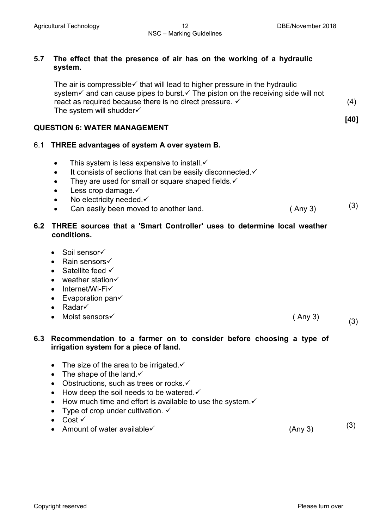**[40]**

#### **5.7 The effect that the presence of air has on the working of a hydraulic system.**

The air is compressible  $\checkmark$  that will lead to higher pressure in the hydraulic system and can cause pipes to burst. The piston on the receiving side will not react as required because there is no direct pressure. The system will shudder√ (4)

#### **QUESTION 6: WATER MANAGEMENT**

# 6.1 **THREE advantages of system A over system B.**

- This system is less expensive to install  $\checkmark$
- $\bullet$  It consists of sections that can be easily disconnected. $\checkmark$
- They are used for small or square shaped fields. $\checkmark$
- Less crop damage. $\checkmark$
- No electricity needed. $\checkmark$
- Can easily been moved to another land.  $(3)$

# **6.2 THREE sources that a 'Smart Controller' uses to determine local weather conditions.**

- $\bullet$  Soil sensor $\checkmark$
- Rain sensors
- Satellite feed  $\checkmark$
- $\bullet$  weather station $\checkmark$
- Internet/Wi-Fi $\checkmark$
- $\bullet$  Evaporation pan $\checkmark$
- Radar
- Moist sensors  $\checkmark$  (Any 3) (3)

#### **6.3 Recommendation to a farmer on to consider before choosing a type of irrigation system for a piece of land.**

- The size of the area to be irrigated.  $\checkmark$
- The shape of the land. $\checkmark$
- Obstructions, such as trees or rocks. $\checkmark$
- How deep the soil needs to be watered. $\checkmark$
- $\bullet$  How much time and effort is available to use the system. $\checkmark$
- Type of crop under cultivation.  $\checkmark$
- Cost  $\checkmark$
- $\frac{1}{2}$  Amount of water available  $\checkmark$  (3)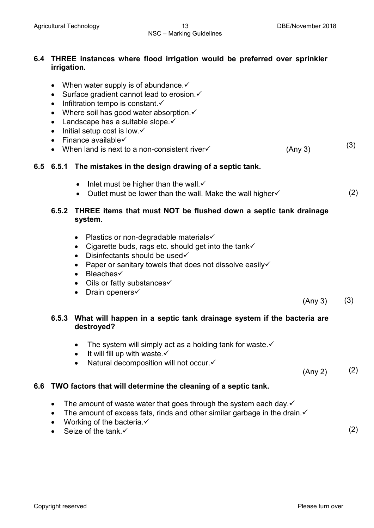# **6.4 THREE instances where flood irrigation would be preferred over sprinkler irrigation.**

- When water supply is of abundance.  $\checkmark$
- Surface gradient cannot lead to erosion. $\checkmark$
- $\bullet$  Infiltration tempo is constant.
- Where soil has good water absorption. $\checkmark$
- Landscape has a suitable slope. $\checkmark$
- Initial setup cost is low. $\checkmark$
- $\bullet$  Finance available $\checkmark$
- This results to a non-consistent river  $(3)$  (Any 3) (3)

#### **6.5 6.5.1 The mistakes in the design drawing of a septic tank.**

- Inlet must be higher than the wall.  $\checkmark$
- Outlet must be lower than the wall. Make the wall higher  $\checkmark$  (2)

# **6.5.2 THREE items that must NOT be flushed down a septic tank drainage system.**

- Plastics or non-degradable materials
- Cigarette buds, rags etc. should get into the tank $\checkmark$
- Disinfectants should be used  $\checkmark$
- Paper or sanitary towels that does not dissolve easily  $\checkmark$
- Bleaches
- Oils or fatty substances $\checkmark$
- Drain openers $\checkmark$

 $(\text{Any } 3)$  (3)

# **6.5.3 What will happen in a septic tank drainage system if the bacteria are destroyed?**

- The system will simply act as a holding tank for waste. $\checkmark$
- It will fill up with waste. $\checkmark$
- Natural decomposition will not occur. $\checkmark$

 $(\text{Any } 2)$  (2)

# **6.6 TWO factors that will determine the cleaning of a septic tank.**

- The amount of waste water that goes through the system each day. $\checkmark$
- The amount of excess fats, rinds and other similar garbage in the drain. $\checkmark$
- Working of the bacteria. $\checkmark$
- Seize of the tank  $\checkmark$  (2)